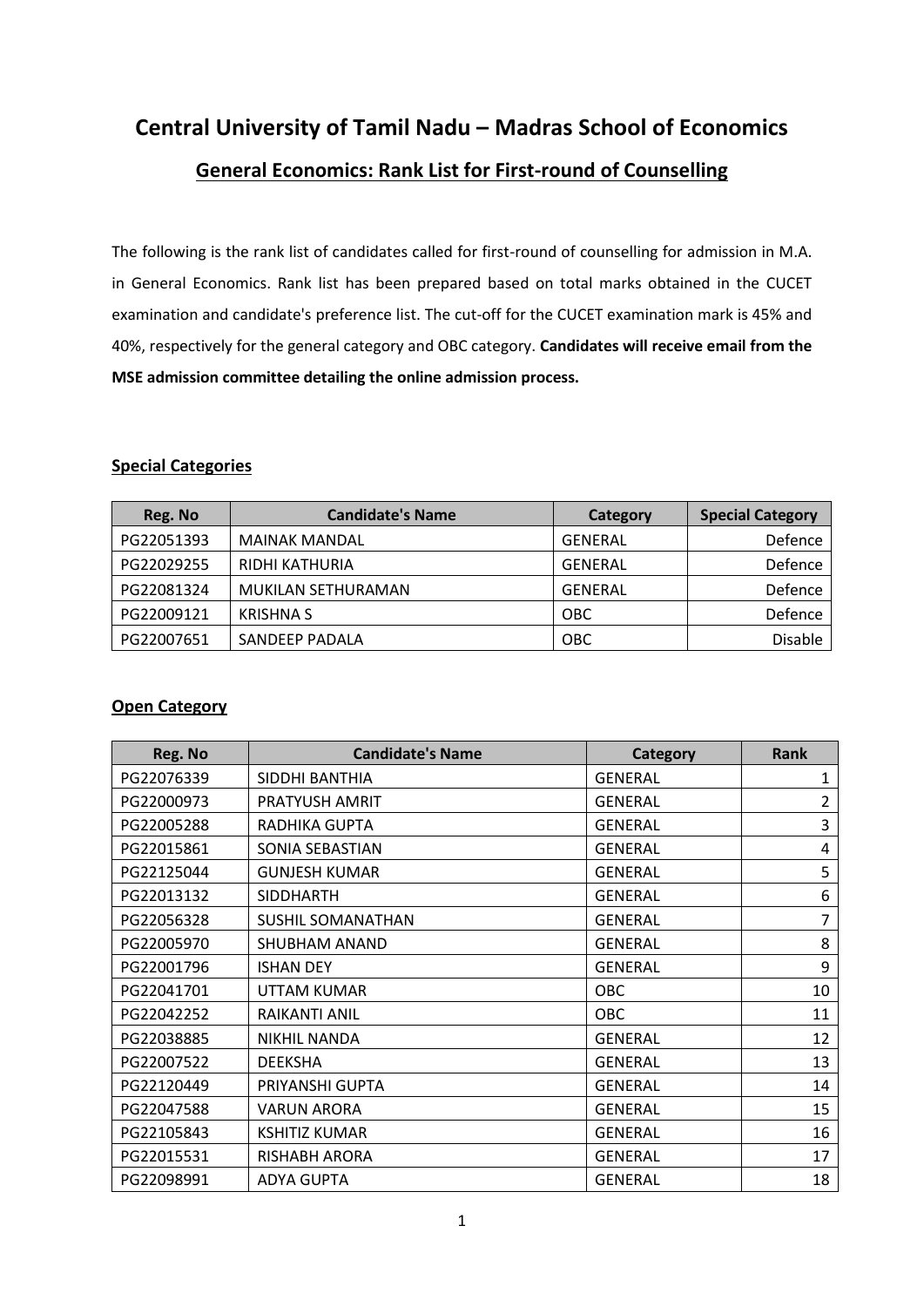**Central University of Tamil Nadu – Madras School of Economics**

# **General Economics: Rank List for First-round of Counselling**

The following is the rank list of candidates called for first-round of counselling for admission in M.A. in General Economics. Rank list has been prepared based on total marks obtained in the CUCET examination and candidate's preference list. The cut-off for the CUCET examination mark is 45% and 40%, respectively for the general category and OBC category. **Candidates will receive email from the MSE admission committee detailing the online admission process.**

#### **Special Categories**

| Reg. No    | <b>Candidate's Name</b> | Category       | <b>Special Category</b> |
|------------|-------------------------|----------------|-------------------------|
| PG22051393 | <b>MAINAK MANDAL</b>    | GENERAL        | Defence                 |
| PG22029255 | <b>RIDHI KATHURIA</b>   | GENERAL        | Defence                 |
| PG22081324 | MUKILAN SETHURAMAN      | <b>GENERAL</b> | Defence                 |
| PG22009121 | <b>KRISHNA S</b>        | <b>OBC</b>     | Defence                 |
| PG22007651 | SANDEEP PADALA          | <b>OBC</b>     | Disable                 |

#### **Open Category**

| Reg. No    | <b>Candidate's Name</b>  | Category       | <b>Rank</b> |
|------------|--------------------------|----------------|-------------|
| PG22076339 | SIDDHI BANTHIA           | <b>GENERAL</b> | 1           |
| PG22000973 | PRATYUSH AMRIT           | <b>GENERAL</b> | 2           |
| PG22005288 | RADHIKA GUPTA            | <b>GENERAL</b> | 3           |
| PG22015861 | SONIA SEBASTIAN          | <b>GENERAL</b> | 4           |
| PG22125044 | <b>GUNJESH KUMAR</b>     | <b>GENERAL</b> | 5           |
| PG22013132 | <b>SIDDHARTH</b>         | <b>GENERAL</b> | 6           |
| PG22056328 | <b>SUSHIL SOMANATHAN</b> | <b>GENERAL</b> | 7           |
| PG22005970 | SHUBHAM ANAND            | <b>GENERAL</b> | 8           |
| PG22001796 | <b>ISHAN DEY</b>         | <b>GENERAL</b> | 9           |
| PG22041701 | UTTAM KUMAR              | OBC            | 10          |
| PG22042252 | <b>RAIKANTI ANIL</b>     | OBC            | 11          |
| PG22038885 | <b>NIKHIL NANDA</b>      | <b>GENERAL</b> | 12          |
| PG22007522 | <b>DEEKSHA</b>           | <b>GENERAL</b> | 13          |
| PG22120449 | PRIYANSHI GUPTA          | <b>GENERAL</b> | 14          |
| PG22047588 | <b>VARUN ARORA</b>       | <b>GENERAL</b> | 15          |
| PG22105843 | <b>KSHITIZ KUMAR</b>     | <b>GENERAL</b> | 16          |
| PG22015531 | <b>RISHABH ARORA</b>     | <b>GENERAL</b> | 17          |
| PG22098991 | <b>ADYA GUPTA</b>        | <b>GENERAL</b> | 18          |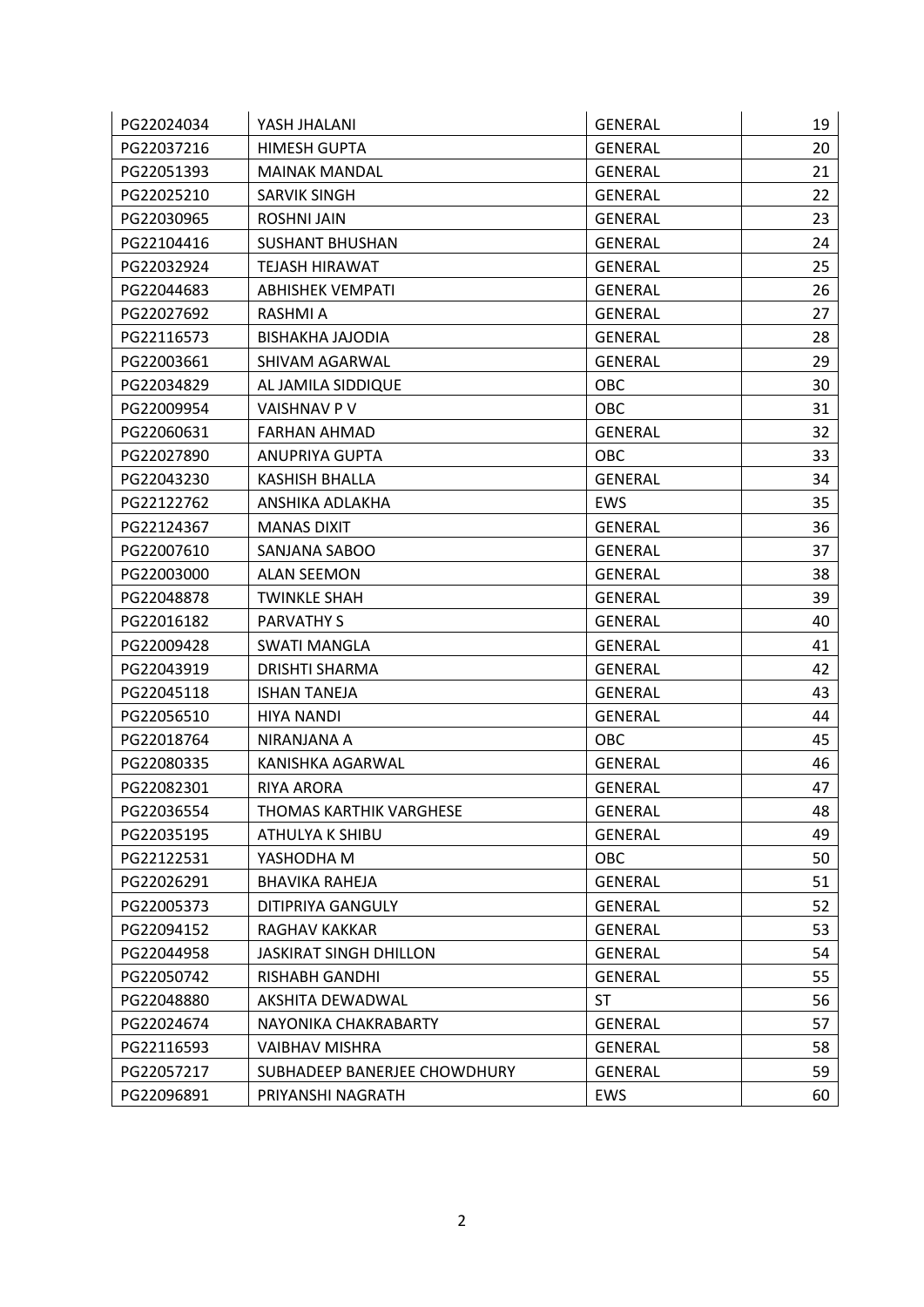| PG22024034 | YASH JHALANI                  | <b>GENERAL</b> | 19 |
|------------|-------------------------------|----------------|----|
| PG22037216 | <b>HIMESH GUPTA</b>           | <b>GENERAL</b> | 20 |
| PG22051393 | <b>MAINAK MANDAL</b>          | <b>GENERAL</b> | 21 |
| PG22025210 | SARVIK SINGH                  | <b>GENERAL</b> | 22 |
| PG22030965 | <b>ROSHNI JAIN</b>            | <b>GENERAL</b> | 23 |
| PG22104416 | <b>SUSHANT BHUSHAN</b>        | <b>GENERAL</b> | 24 |
| PG22032924 | <b>TEJASH HIRAWAT</b>         | <b>GENERAL</b> | 25 |
| PG22044683 | <b>ABHISHEK VEMPATI</b>       | <b>GENERAL</b> | 26 |
| PG22027692 | RASHMI A                      | <b>GENERAL</b> | 27 |
| PG22116573 | <b>BISHAKHA JAJODIA</b>       | <b>GENERAL</b> | 28 |
| PG22003661 | SHIVAM AGARWAL                | <b>GENERAL</b> | 29 |
| PG22034829 | AL JAMILA SIDDIQUE            | OBC            | 30 |
| PG22009954 | VAISHNAV P V                  | OBC            | 31 |
| PG22060631 | <b>FARHAN AHMAD</b>           | <b>GENERAL</b> | 32 |
| PG22027890 | ANUPRIYA GUPTA                | OBC            | 33 |
| PG22043230 | <b>KASHISH BHALLA</b>         | <b>GENERAL</b> | 34 |
| PG22122762 | ANSHIKA ADLAKHA               | EWS            | 35 |
| PG22124367 | <b>MANAS DIXIT</b>            | <b>GENERAL</b> | 36 |
| PG22007610 | SANJANA SABOO                 | <b>GENERAL</b> | 37 |
| PG22003000 | <b>ALAN SEEMON</b>            | <b>GENERAL</b> | 38 |
| PG22048878 | <b>TWINKLE SHAH</b>           | <b>GENERAL</b> | 39 |
| PG22016182 | <b>PARVATHY S</b>             | <b>GENERAL</b> | 40 |
| PG22009428 | <b>SWATI MANGLA</b>           | <b>GENERAL</b> | 41 |
| PG22043919 | DRISHTI SHARMA                | <b>GENERAL</b> | 42 |
| PG22045118 | <b>ISHAN TANEJA</b>           | <b>GENERAL</b> | 43 |
| PG22056510 | <b>HIYA NANDI</b>             | <b>GENERAL</b> | 44 |
| PG22018764 | NIRANJANA A                   | OBC            | 45 |
| PG22080335 | KANISHKA AGARWAL              | <b>GENERAL</b> | 46 |
| PG22082301 | <b>RIYA ARORA</b>             | <b>GENERAL</b> | 47 |
| PG22036554 | THOMAS KARTHIK VARGHESE       | <b>GENERAL</b> | 48 |
| PG22035195 | ATHULYA K SHIBU               | <b>GENERAL</b> | 49 |
| PG22122531 | YASHODHA M                    | OBC            | 50 |
| PG22026291 | <b>BHAVIKA RAHEJA</b>         | <b>GENERAL</b> | 51 |
| PG22005373 | DITIPRIYA GANGULY             | <b>GENERAL</b> | 52 |
| PG22094152 | RAGHAV KAKKAR                 | <b>GENERAL</b> | 53 |
| PG22044958 | <b>JASKIRAT SINGH DHILLON</b> | <b>GENERAL</b> | 54 |
| PG22050742 | <b>RISHABH GANDHI</b>         | <b>GENERAL</b> | 55 |
| PG22048880 | AKSHITA DEWADWAL              | <b>ST</b>      | 56 |
| PG22024674 | NAYONIKA CHAKRABARTY          | <b>GENERAL</b> | 57 |
| PG22116593 | <b>VAIBHAV MISHRA</b>         | <b>GENERAL</b> | 58 |
| PG22057217 | SUBHADEEP BANERJEE CHOWDHURY  | <b>GENERAL</b> | 59 |
| PG22096891 | PRIYANSHI NAGRATH             | EWS            | 60 |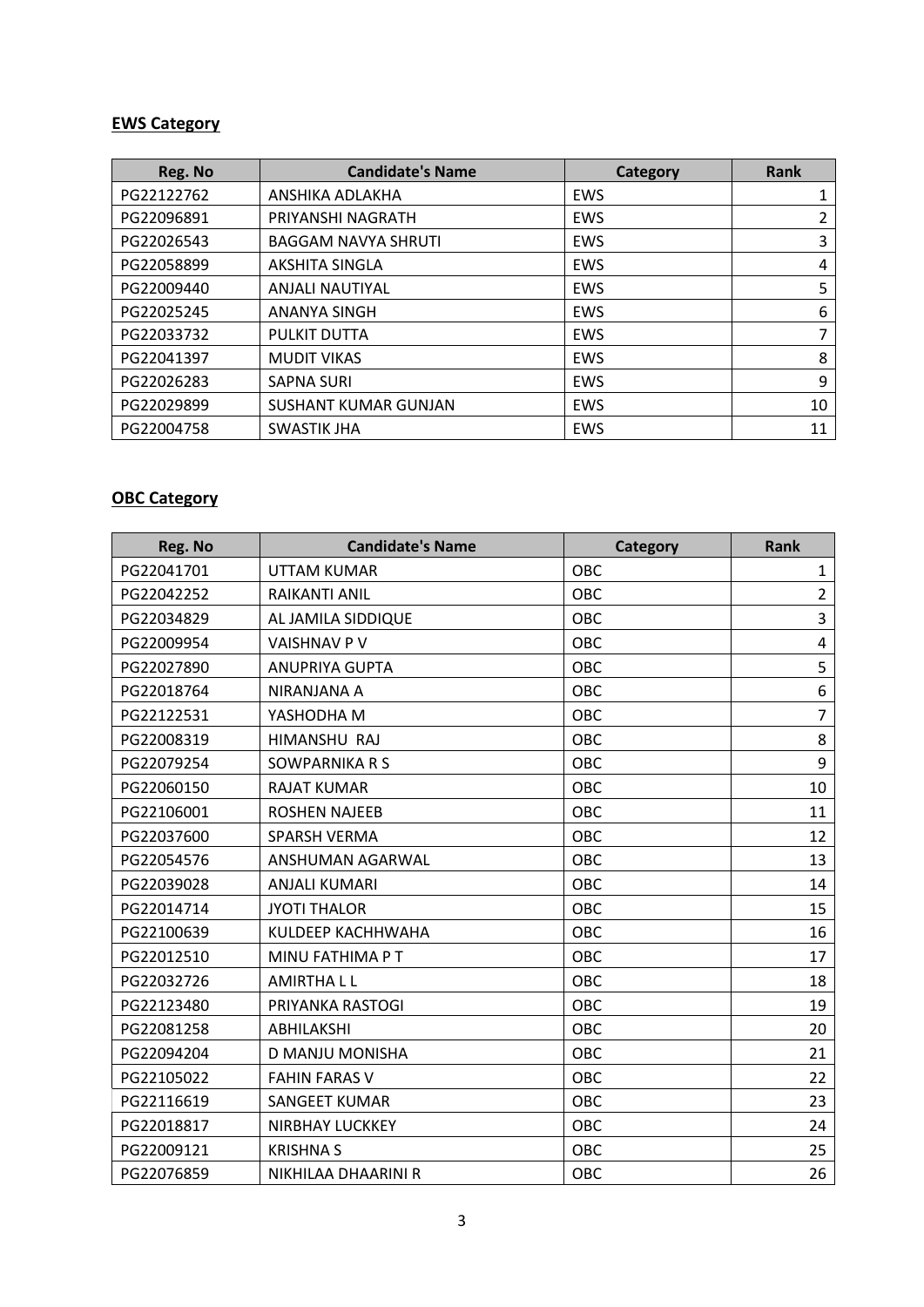#### **EWS Category**

| Reg. No    | <b>Candidate's Name</b>     | <b>Category</b> | Rank |
|------------|-----------------------------|-----------------|------|
| PG22122762 | ANSHIKA ADLAKHA             | EWS             |      |
| PG22096891 | PRIYANSHI NAGRATH           | EWS             | 2    |
| PG22026543 | <b>BAGGAM NAVYA SHRUTI</b>  | EWS             | 3    |
| PG22058899 | <b>AKSHITA SINGLA</b>       | EWS             | 4    |
| PG22009440 | ANJALI NAUTIYAL             | EWS             | 5    |
| PG22025245 | <b>ANANYA SINGH</b>         | EWS             | 6    |
| PG22033732 | PULKIT DUTTA                | EWS             | 7    |
| PG22041397 | <b>MUDIT VIKAS</b>          | EWS             | 8    |
| PG22026283 | <b>SAPNA SURI</b>           | EWS             | 9    |
| PG22029899 | <b>SUSHANT KUMAR GUNJAN</b> | <b>EWS</b>      | 10   |
| PG22004758 | <b>SWASTIK JHA</b>          | EWS             | 11   |

#### **OBC Category**

| Reg. No    | <b>Candidate's Name</b> | <b>Category</b> | <b>Rank</b>    |
|------------|-------------------------|-----------------|----------------|
| PG22041701 | UTTAM KUMAR             | OBC             | $\mathbf{1}$   |
| PG22042252 | <b>RAIKANTI ANIL</b>    | <b>OBC</b>      | $\overline{2}$ |
| PG22034829 | AL JAMILA SIDDIQUE      | OBC             | 3              |
| PG22009954 | <b>VAISHNAV PV</b>      | OBC             | 4              |
| PG22027890 | <b>ANUPRIYA GUPTA</b>   | OBC             | 5              |
| PG22018764 | NIRANJANA A             | OBC             | 6              |
| PG22122531 | YASHODHA M              | OBC             | $\overline{7}$ |
| PG22008319 | HIMANSHU RAJ            | OBC             | 8              |
| PG22079254 | SOWPARNIKA R S          | OBC             | 9              |
| PG22060150 | <b>RAJAT KUMAR</b>      | OBC             | 10             |
| PG22106001 | <b>ROSHEN NAJEEB</b>    | OBC             | 11             |
| PG22037600 | <b>SPARSH VERMA</b>     | OBC             | 12             |
| PG22054576 | ANSHUMAN AGARWAL        | OBC             | 13             |
| PG22039028 | ANJALI KUMARI           | OBC             | 14             |
| PG22014714 | <b>JYOTI THALOR</b>     | OBC             | 15             |
| PG22100639 | KULDEEP KACHHWAHA       | OBC             | 16             |
| PG22012510 | MINU FATHIMA P T        | OBC             | 17             |
| PG22032726 | <b>AMIRTHALL</b>        | OBC             | 18             |
| PG22123480 | PRIYANKA RASTOGI        | OBC             | 19             |
| PG22081258 | <b>ABHILAKSHI</b>       | OBC             | 20             |
| PG22094204 | D MANJU MONISHA         | OBC             | 21             |
| PG22105022 | <b>FAHIN FARAS V</b>    | OBC             | 22             |
| PG22116619 | SANGEET KUMAR           | OBC             | 23             |
| PG22018817 | <b>NIRBHAY LUCKKEY</b>  | OBC             | 24             |
| PG22009121 | <b>KRISHNA S</b>        | OBC             | 25             |
| PG22076859 | NIKHILAA DHAARINI R     | OBC             | 26             |